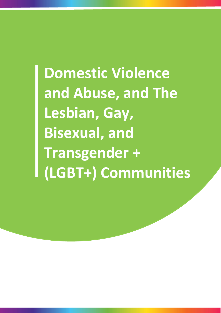**Domestic Violence and Abuse, and The Lesbian, Gay, Bisexual, and Transgender + (LGBT+) Communities** 1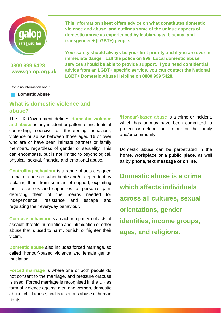

## **0800 999 5428 [www.galop.org.uk](http://www.galop.org.uk/)**

Contains information about:

**Domestic Abuse**

# **What is domestic violence and abuse?**

The UK Government defines **domestic violence and abuse** as any incident or pattern of incidents of controlling, coercive or threatening behaviour, violence or abuse between those aged 16 or over who are or have been intimate partners or family members, regardless of gender or sexuality. This can encompass, but is not limited to psychological, physical, sexual, financial and emotional abuse.

**Controlling behaviour** is a range of acts designed to make a person subordinate and/or dependent by isolating them from sources of support, exploiting their resources and capacities for personal gain, depriving them of the means needed for independence, resistance and escape and regulating their everyday behaviour.

**Coercive behaviour** is an act or a pattern of acts of assault, threats, humiliation and intimidation or other abuse that is used to harm, punish, or frighten their victim.

**Domestic abuse** also includes forced marriage, so called 'honour'-based violence and female genital mutilation.

**Forced marriage** is where one or both people do not consent to the marriage, and pressure orabuse is used. Forced marriage is recognised in the UK as form of violence against men and women, domestic abuse, child abuse, and is a serious abuse of human rights.

**This information sheet offers advice on what constitutes domestic violence and abuse, and outlines some of the unique aspects of domestic abuse as experienced by lesbian, gay, bisexual and transgender + (LGBT+) people.**

**Your safety should always be your first priority and if you are ever in immediate danger, call the police on 999. Local domestic abuse services should be able to provide support. If you need confidential advice from an LGBT+ specific service, you can contact the National LGBT+ Domestic Abuse Helpline on 0800 999 5428.**

> **'Honour'-based abuse** is a crime or incident, which has or may have been committed to protect or defend the honour or the family and/or community.

> Domestic abuse can be perpetrated in the **home, workplace or a public place**, as well as by **phone, text message or online**.

**Domestic abuse is a crime which affects individuals across all cultures, sexual orientations, gender identities, income groups, ages, and religions.**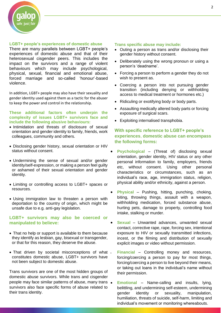

#### **LGBT+ people's experiences of domestic abuse**

There are many parallels between LGBT+ people's experiences of domestic abuse and that of their heterosexual cisgender peers. This includes the impact on the survivors and a range of violent behaviours which may include psychological, physical, sexual, financial and emotional abuse, forced marriage and so-called 'honour'-based violence.

In addition, LGBT+ people may also have their sexuality and gender identity used against them as a tactic for the abuser to keep the power and control in the relationship.

### **These additional factors often underpin the complexity of issues LGBT+ survivors face and include the following abusive behaviours:**

- Intimidation and threats of disclosure of sexual orientation and gender identity to family, friends, work colleagues, community and others.
- Disclosing gender history, sexual orientation or HIV status without consent.
- Undermining the sense of sexual and/or gender identity/self-expression, or making a person feel guilty or ashamed of their sexual orientation and gender identity.
- Limiting or controlling access to LGBT+ spaces or resources.
- Using immigration law to threaten a person with deportation to the country of origin, which might be unsafe due to e.g. anti-gay legislation.

## **LGBT+ survivors may also be coerced or manipulated to believe:**

- That no help or support is available to them because they identify as lesbian, gay, bisexual or transgender, or that for this reason, they deserve the abuse.
- That driven by societal misconceptions of what . constitutes domestic abuse, LGBT+ survivors have not been subject to domestic abuse.

Trans survivors are one of the most hidden groups of domestic abuse survivors. While trans and cisgender people may face similar patterns of abuse, many trans . survivors also face specific forms of abuse related to their trans identity.

#### **Trans specific abuse may include:**

- Outing a person as trans and/or disclosing their gender history without consent.
- Deliberately using the wrong pronoun or using a person's 'deadname'.
- Forcing a person to perform a gender they do not wish to present as.
- Coercing a person into not pursuing gender transition (including denying or withholding access to medical treatment or hormones etc.)
- Ridiculing or exotifying body or body parts.
- Assaulting medically altered body parts or forcing exposure of surgical scars.
- Exploiting internalised transphobia.

## **With specific reference to LGBT+ people's experiences**, **domestic abuse can encompass the following forms:**

- **Psychological** (Threat of) disclosing sexual orientation, gender identity, HIV status or any other personal information to family, employers, friends etc, without consent. Using other personal characteristics or circumstances, such as an individual's race, age, immigration status, religion, physical ability and/or ethnicity, against a person.
- **Physical** Pushing, hitting, punching, choking, biting, throwing things, assault with a weapon, withholding medication, forced substance abuse, hurting pets, damage to property, controlling food intake, stalking or murder.
- **Sexual** Unwanted advances, unwanted sexual contact, corrective rape, rape, forcing sex, intentional exposure to HIV or sexually transmitted infections, incest, or the filming and distribution of sexually explicit images or video without permission.
	- **Financial** Controlling money and resources, forcing/coercing a person to pay for most things, forcing/coercing a person to live beyond their means, or taking out loans in the individual's name without their permission.
- **Emotional** Name-calling and insults, lying, belittling, and undermining self-esteem, undermining gender identity or sexuality, manipulation, humiliation, threats of suicide, self-harm, limiting and individual's movement or monitoring whereabouts.